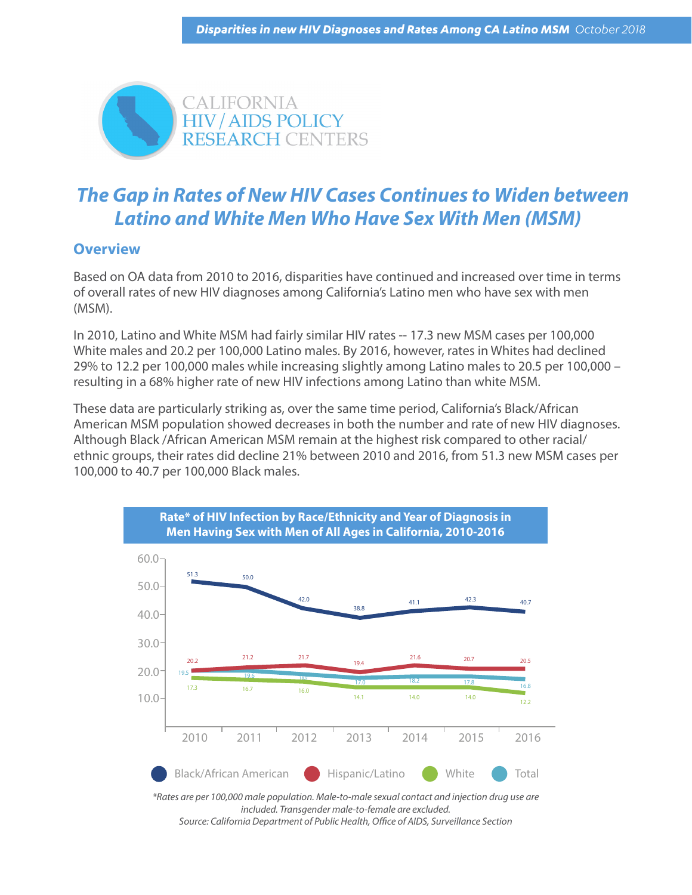

## *The Gap in Rates of New HIV Cases Continue***s** *to Widen between Latino and White Men Who Have Sex With Men (MSM)*

## **Overview**

Based on OA data from 2010 to 2016, disparities have continued and increased over time in terms of overall rates of new HIV diagnoses among California's Latino men who have sex with men (MSM).

In 2010, Latino and White MSM had fairly similar HIV rates -- 17.3 new MSM cases per 100,000 White males and 20.2 per 100,000 Latino males. By 2016, however, rates in Whites had declined 29% to 12.2 per 100,000 males while increasing slightly among Latino males to 20.5 per 100,000 – resulting in a 68% higher rate of new HIV infections among Latino than white MSM.

These data are particularly striking as, over the same time period, California's Black/African American MSM population showed decreases in both the number and rate of new HIV diagnoses. Although Black /African American MSM remain at the highest risk compared to other racial/ ethnic groups, their rates did decline 21% between 2010 and 2016, from 51.3 new MSM cases per 100,000 to 40.7 per 100,000 Black males.